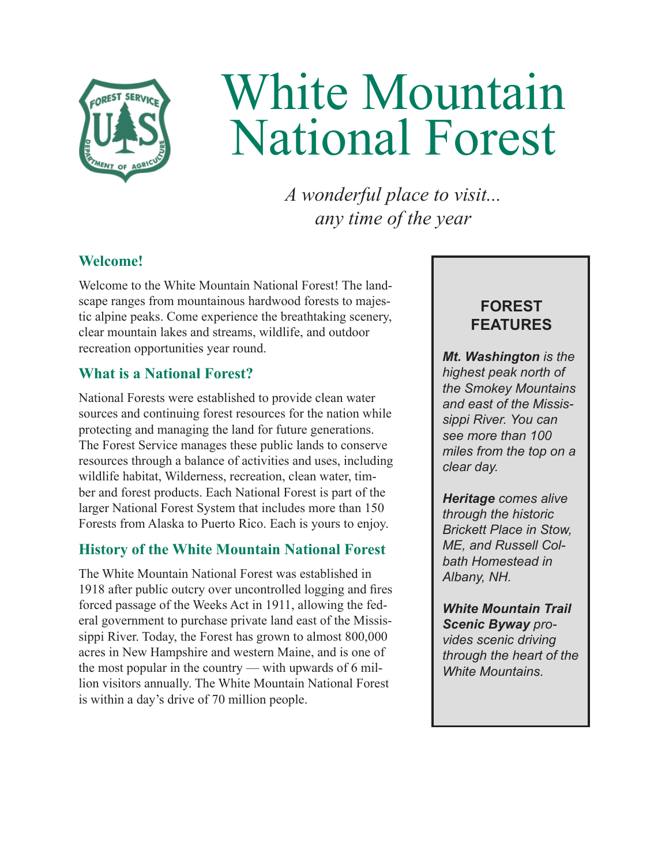

# White Mountain National Forest

*A wonderful place to visit... any time of the year* 

# **Welcome!**

Welcome to the White Mountain National Forest! The landscape ranges from mountainous hardwood forests to majestic alpine peaks. Come experience the breathtaking scenery, clear mountain lakes and streams, wildlife, and outdoor recreation opportunities year round.

# **What is a National Forest?**

National Forests were established to provide clean water sources and continuing forest resources for the nation while protecting and managing the land for future generations. The Forest Service manages these public lands to conserve resources through a balance of activities and uses, including wildlife habitat, Wilderness, recreation, clean water, timber and forest products. Each National Forest is part of the larger National Forest System that includes more than 150 Forests from Alaska to Puerto Rico. Each is yours to enjoy.

# **History of the White Mountain National Forest**

The White Mountain National Forest was established in 1918 after public outcry over uncontrolled logging and fires forced passage of the Weeks Act in 1911, allowing the federal government to purchase private land east of the Mississippi River. Today, the Forest has grown to almost 800,000 acres in New Hampshire and western Maine, and is one of the most popular in the country — with upwards of 6 million visitors annually. The White Mountain National Forest is within a day's drive of 70 million people.

# **FOREST FEATURES**

*Mt. Washington is the highest peak north of the Smokey Mountains and east of the Mississippi River. You can see more than 100 miles from the top on a clear day.*

*Heritage comes alive through the historic Brickett Place in Stow, ME, and Russell Colbath Homestead in Albany, NH.*

*White Mountain Trail Scenic Byway provides scenic driving through the heart of the White Mountains.*